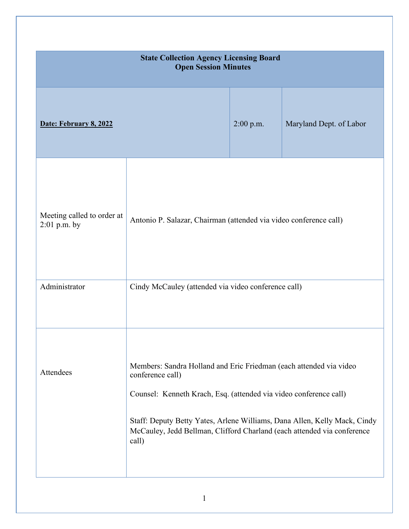| <b>State Collection Agency Licensing Board</b><br><b>Open Session Minutes</b> |                                                                                                                                                                                                                                                                                                                              |             |                         |
|-------------------------------------------------------------------------------|------------------------------------------------------------------------------------------------------------------------------------------------------------------------------------------------------------------------------------------------------------------------------------------------------------------------------|-------------|-------------------------|
| Date: February 8, 2022                                                        |                                                                                                                                                                                                                                                                                                                              | $2:00$ p.m. | Maryland Dept. of Labor |
| Meeting called to order at<br>$2:01$ p.m. by                                  | Antonio P. Salazar, Chairman (attended via video conference call)                                                                                                                                                                                                                                                            |             |                         |
| Administrator                                                                 | Cindy McCauley (attended via video conference call)                                                                                                                                                                                                                                                                          |             |                         |
| Attendees                                                                     | Members: Sandra Holland and Eric Friedman (each attended via video<br>conference call)<br>Counsel: Kenneth Krach, Esq. (attended via video conference call)<br>Staff: Deputy Betty Yates, Arlene Williams, Dana Allen, Kelly Mack, Cindy<br>McCauley, Jedd Bellman, Clifford Charland (each attended via conference<br>call) |             |                         |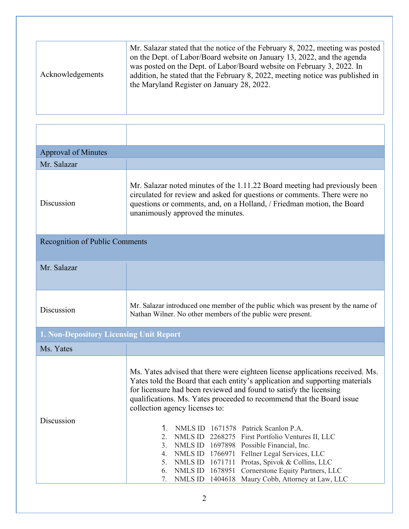| Acknowledgements | Mr. Salazar stated that the notice of the February 8, 2022, meeting was posted<br>on the Dept. of Labor/Board website on January 13, 2022, and the agenda<br>was posted on the Dept. of Labor/Board website on February 3, 2022. In<br>addition, he stated that the February 8, 2022, meeting notice was published in<br>the Maryland Register on January 28, 2022. |
|------------------|---------------------------------------------------------------------------------------------------------------------------------------------------------------------------------------------------------------------------------------------------------------------------------------------------------------------------------------------------------------------|
|------------------|---------------------------------------------------------------------------------------------------------------------------------------------------------------------------------------------------------------------------------------------------------------------------------------------------------------------------------------------------------------------|

| <b>Approval of Minutes</b>                     |                                                                                                                                                                                                                                                                                                                                                                                                                                                                                                                                                                                                                                                                                                                                                                                      |  |
|------------------------------------------------|--------------------------------------------------------------------------------------------------------------------------------------------------------------------------------------------------------------------------------------------------------------------------------------------------------------------------------------------------------------------------------------------------------------------------------------------------------------------------------------------------------------------------------------------------------------------------------------------------------------------------------------------------------------------------------------------------------------------------------------------------------------------------------------|--|
| Mr. Salazar                                    |                                                                                                                                                                                                                                                                                                                                                                                                                                                                                                                                                                                                                                                                                                                                                                                      |  |
| Discussion                                     | Mr. Salazar noted minutes of the 1.11.22 Board meeting had previously been<br>circulated for review and asked for questions or comments. There were no<br>questions or comments, and, on a Holland, / Friedman motion, the Board<br>unanimously approved the minutes.                                                                                                                                                                                                                                                                                                                                                                                                                                                                                                                |  |
| <b>Recognition of Public Comments</b>          |                                                                                                                                                                                                                                                                                                                                                                                                                                                                                                                                                                                                                                                                                                                                                                                      |  |
| Mr. Salazar                                    |                                                                                                                                                                                                                                                                                                                                                                                                                                                                                                                                                                                                                                                                                                                                                                                      |  |
| Discussion                                     | Mr. Salazar introduced one member of the public which was present by the name of<br>Nathan Wilner. No other members of the public were present.                                                                                                                                                                                                                                                                                                                                                                                                                                                                                                                                                                                                                                      |  |
| <b>1. Non-Depository Licensing Unit Report</b> |                                                                                                                                                                                                                                                                                                                                                                                                                                                                                                                                                                                                                                                                                                                                                                                      |  |
| Ms. Yates                                      |                                                                                                                                                                                                                                                                                                                                                                                                                                                                                                                                                                                                                                                                                                                                                                                      |  |
| Discussion                                     | Ms. Yates advised that there were eighteen license applications received. Ms.<br>Yates told the Board that each entity's application and supporting materials<br>for licensure had been reviewed and found to satisfy the licensing<br>qualifications. Ms. Yates proceeded to recommend that the Board issue<br>collection agency licenses to:<br>1. NMLS ID 1671578 Patrick Scanlon P.A.<br>2.<br><b>NMLS ID</b><br>2268275 First Portfolio Ventures II, LLC<br>Possible Financial, Inc.<br>3.<br><b>NMLS ID</b><br>1697898<br>NMLS ID<br>1766971<br>Fellner Legal Services, LLC<br>4.<br>5.<br>NMLS ID<br>1671711<br>Protas, Spivok & Collins, LLC<br>Cornerstone Equity Partners, LLC<br>NMLS ID<br>1678951<br>6.<br>Maury Cobb, Attorney at Law, LLC<br>7.<br>NMLS ID<br>1404618 |  |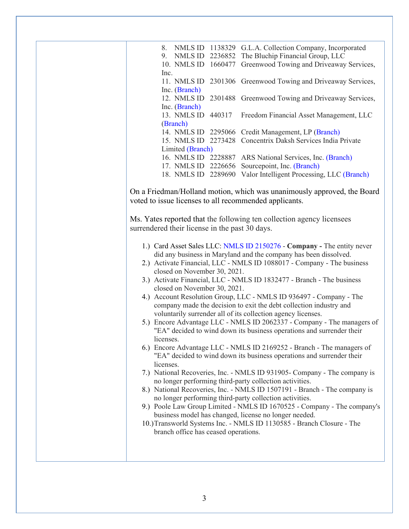8. NMLS ID 1138329 G.L.A. Collection Company, Incorporated 9. NMLS ID 2236852 The Bluchip Financial Group, LLC 10. NMLS ID 1660477 Greenwood Towing and Driveaway Services, Inc. 11. NMLS ID 2301306 Greenwood Towing and Driveaway Services, Inc. (Branch) 12. NMLS ID 2301488 Greenwood Towing and Driveaway Services, Inc. (Branch) 13. NMLS ID 440317 Freedom Financial Asset Management, LLC (Branch) 14. NMLS ID 2295066 Credit Management, LP (Branch) 15. NMLS ID 2273428 Concentrix Daksh Services India Private Limited (Branch) 16. NMLS ID 2228887 ARS National Services, Inc. (Branch) 17. NMLS ID 2226656 Sourcepoint, Inc. (Branch) 18. NMLS ID 2289690 Valor Intelligent Processing, LLC (Branch)

On a Friedman/Holland motion, which was unanimously approved, the Board voted to issue licenses to all recommended applicants.

Ms. Yates reported that the following ten collection agency licensees surrendered their license in the past 30 days.

- 1.) Card Asset Sales LLC: NMLS ID 2150276 **Company -** The entity never did any business in Maryland and the company has been dissolved.
- 2.) Activate Financial, LLC NMLS ID 1088017 Company The business closed on November 30, 2021.
- 3.) Activate Financial, LLC NMLS ID 1832477 Branch The business closed on November 30, 2021.
- 4.) Account Resolution Group, LLC NMLS ID 936497 Company The company made the decision to exit the debt collection industry and voluntarily surrender all of its collection agency licenses.
- 5.) Encore Advantage LLC NMLS ID 2062337 Company The managers of "EA" decided to wind down its business operations and surrender their licenses.
- 6.) Encore Advantage LLC NMLS ID 2169252 Branch The managers of "EA" decided to wind down its business operations and surrender their licenses.
- 7.) National Recoveries, Inc. NMLS ID 931905- Company The company is no longer performing third-party collection activities.
- 8.) National Recoveries, Inc. NMLS ID 1507191 Branch The company is no longer performing third-party collection activities.
- 9.) Poole Law Group Limited NMLS ID 1670525 Company The company's business model has changed, license no longer needed.
- 10.)Transworld Systems Inc. NMLS ID 1130585 Branch Closure The branch office has ceased operations.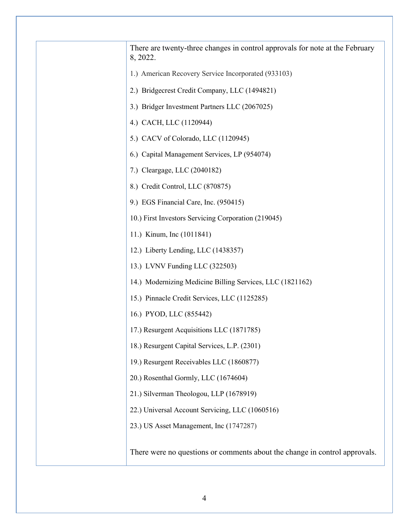| There are twenty-three changes in control approvals for note at the February<br>8, 2022. |
|------------------------------------------------------------------------------------------|
| 1.) American Recovery Service Incorporated (933103)                                      |
| 2.) Bridgecrest Credit Company, LLC (1494821)                                            |
| 3.) Bridger Investment Partners LLC (2067025)                                            |
| 4.) CACH, LLC (1120944)                                                                  |
| 5.) CACV of Colorado, LLC (1120945)                                                      |
| 6.) Capital Management Services, LP (954074)                                             |
| 7.) Cleargage, LLC (2040182)                                                             |
| 8.) Credit Control, LLC (870875)                                                         |
| 9.) EGS Financial Care, Inc. (950415)                                                    |
| 10.) First Investors Servicing Corporation (219045)                                      |
| 11.) Kinum, Inc (1011841)                                                                |
| 12.) Liberty Lending, LLC (1438357)                                                      |
| 13.) LVNV Funding LLC (322503)                                                           |
| 14.) Modernizing Medicine Billing Services, LLC (1821162)                                |
| 15.) Pinnacle Credit Services, LLC (1125285)                                             |
| 16.) PYOD, LLC (855442)                                                                  |
| 17.) Resurgent Acquisitions LLC (1871785)                                                |
| 18.) Resurgent Capital Services, L.P. (2301)                                             |
| 19.) Resurgent Receivables LLC (1860877)                                                 |
| 20.) Rosenthal Gormly, LLC (1674604)                                                     |
| 21.) Silverman Theologou, LLP (1678919)                                                  |
| 22.) Universal Account Servicing, LLC (1060516)                                          |
| 23.) US Asset Management, Inc (1747287)                                                  |
|                                                                                          |
| There were no questions or comments about the change in control approvals.               |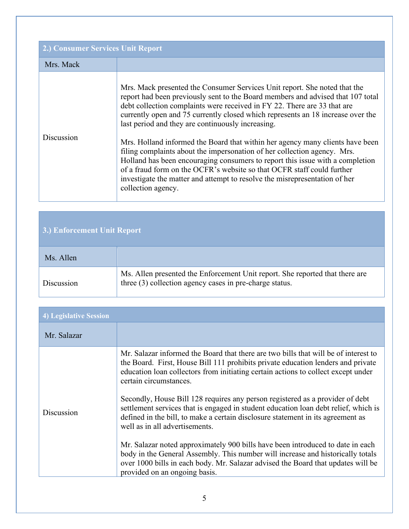| 2.) Consumer Services Unit Report |                                                                                                                                                                                                                                                                                                                                                                                                                                                                                                                                                                                                                                                                                                                                                                                                              |  |
|-----------------------------------|--------------------------------------------------------------------------------------------------------------------------------------------------------------------------------------------------------------------------------------------------------------------------------------------------------------------------------------------------------------------------------------------------------------------------------------------------------------------------------------------------------------------------------------------------------------------------------------------------------------------------------------------------------------------------------------------------------------------------------------------------------------------------------------------------------------|--|
| Mrs. Mack                         |                                                                                                                                                                                                                                                                                                                                                                                                                                                                                                                                                                                                                                                                                                                                                                                                              |  |
| Discussion                        | Mrs. Mack presented the Consumer Services Unit report. She noted that the<br>report had been previously sent to the Board members and advised that 107 total<br>debt collection complaints were received in FY 22. There are 33 that are<br>currently open and 75 currently closed which represents an 18 increase over the<br>last period and they are continuously increasing.<br>Mrs. Holland informed the Board that within her agency many clients have been<br>filing complaints about the impersonation of her collection agency. Mrs.<br>Holland has been encouraging consumers to report this issue with a completion<br>of a fraud form on the OCFR's website so that OCFR staff could further<br>investigate the matter and attempt to resolve the misrepresentation of her<br>collection agency. |  |

## **3.) Enforcement Unit Report**

| Ms. Allen  |                                                                                                                                         |
|------------|-----------------------------------------------------------------------------------------------------------------------------------------|
| Discussion | Ms. Allen presented the Enforcement Unit report. She reported that there are<br>three (3) collection agency cases in pre-charge status. |

| 4) Legislative Session |                                                                                                                                                                                                                                                                                                                                                                                                                                                                                                                                                                                                                                                                                                                                                                                                                                              |
|------------------------|----------------------------------------------------------------------------------------------------------------------------------------------------------------------------------------------------------------------------------------------------------------------------------------------------------------------------------------------------------------------------------------------------------------------------------------------------------------------------------------------------------------------------------------------------------------------------------------------------------------------------------------------------------------------------------------------------------------------------------------------------------------------------------------------------------------------------------------------|
| Mr. Salazar            |                                                                                                                                                                                                                                                                                                                                                                                                                                                                                                                                                                                                                                                                                                                                                                                                                                              |
| Discussion             | Mr. Salazar informed the Board that there are two bills that will be of interest to<br>the Board. First, House Bill 111 prohibits private education lenders and private<br>education loan collectors from initiating certain actions to collect except under<br>certain circumstances.<br>Secondly, House Bill 128 requires any person registered as a provider of debt<br>settlement services that is engaged in student education loan debt relief, which is<br>defined in the bill, to make a certain disclosure statement in its agreement as<br>well as in all advertisements.<br>Mr. Salazar noted approximately 900 bills have been introduced to date in each<br>body in the General Assembly. This number will increase and historically totals<br>over 1000 bills in each body. Mr. Salazar advised the Board that updates will be |
|                        | provided on an ongoing basis.                                                                                                                                                                                                                                                                                                                                                                                                                                                                                                                                                                                                                                                                                                                                                                                                                |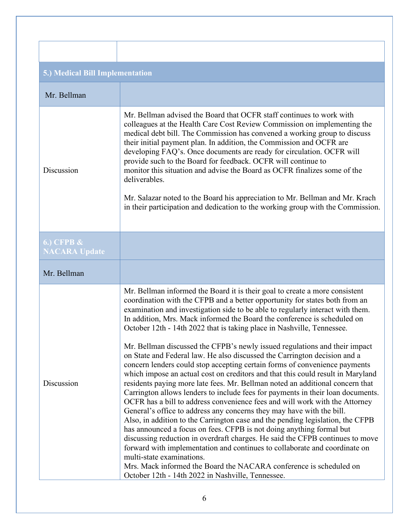| 5.) Medical Bill Implementation         |                                                                                                                                                                                                                                                                                                                                                                                                                                                                                                                                                                                                                                                                                                                                                                                                                                                                                                                                                                                                                                                                                                                                                                                                                                                                                                                                                                                                                                                                                                                                             |  |
|-----------------------------------------|---------------------------------------------------------------------------------------------------------------------------------------------------------------------------------------------------------------------------------------------------------------------------------------------------------------------------------------------------------------------------------------------------------------------------------------------------------------------------------------------------------------------------------------------------------------------------------------------------------------------------------------------------------------------------------------------------------------------------------------------------------------------------------------------------------------------------------------------------------------------------------------------------------------------------------------------------------------------------------------------------------------------------------------------------------------------------------------------------------------------------------------------------------------------------------------------------------------------------------------------------------------------------------------------------------------------------------------------------------------------------------------------------------------------------------------------------------------------------------------------------------------------------------------------|--|
| Mr. Bellman                             |                                                                                                                                                                                                                                                                                                                                                                                                                                                                                                                                                                                                                                                                                                                                                                                                                                                                                                                                                                                                                                                                                                                                                                                                                                                                                                                                                                                                                                                                                                                                             |  |
| Discussion                              | Mr. Bellman advised the Board that OCFR staff continues to work with<br>colleagues at the Health Care Cost Review Commission on implementing the<br>medical debt bill. The Commission has convened a working group to discuss<br>their initial payment plan. In addition, the Commission and OCFR are<br>developing FAQ's. Once documents are ready for circulation. OCFR will<br>provide such to the Board for feedback. OCFR will continue to<br>monitor this situation and advise the Board as OCFR finalizes some of the<br>deliverables.<br>Mr. Salazar noted to the Board his appreciation to Mr. Bellman and Mr. Krach<br>in their participation and dedication to the working group with the Commission.                                                                                                                                                                                                                                                                                                                                                                                                                                                                                                                                                                                                                                                                                                                                                                                                                            |  |
| $6.)$ CFPB $\&$<br><b>NACARA Update</b> |                                                                                                                                                                                                                                                                                                                                                                                                                                                                                                                                                                                                                                                                                                                                                                                                                                                                                                                                                                                                                                                                                                                                                                                                                                                                                                                                                                                                                                                                                                                                             |  |
| Mr. Bellman                             |                                                                                                                                                                                                                                                                                                                                                                                                                                                                                                                                                                                                                                                                                                                                                                                                                                                                                                                                                                                                                                                                                                                                                                                                                                                                                                                                                                                                                                                                                                                                             |  |
| Discussion                              | Mr. Bellman informed the Board it is their goal to create a more consistent<br>coordination with the CFPB and a better opportunity for states both from an<br>examination and investigation side to be able to regularly interact with them.<br>In addition, Mrs. Mack informed the Board the conference is scheduled on<br>October 12th - 14th 2022 that is taking place in Nashville, Tennessee.<br>Mr. Bellman discussed the CFPB's newly issued regulations and their impact<br>on State and Federal law. He also discussed the Carrington decision and a<br>concern lenders could stop accepting certain forms of convenience payments<br>which impose an actual cost on creditors and that this could result in Maryland<br>residents paying more late fees. Mr. Bellman noted an additional concern that<br>Carrington allows lenders to include fees for payments in their loan documents.<br>OCFR has a bill to address convenience fees and will work with the Attorney<br>General's office to address any concerns they may have with the bill.<br>Also, in addition to the Carrington case and the pending legislation, the CFPB<br>has announced a focus on fees. CFPB is not doing anything formal but<br>discussing reduction in overdraft charges. He said the CFPB continues to move<br>forward with implementation and continues to collaborate and coordinate on<br>multi-state examinations.<br>Mrs. Mack informed the Board the NACARA conference is scheduled on<br>October 12th - 14th 2022 in Nashville, Tennessee. |  |